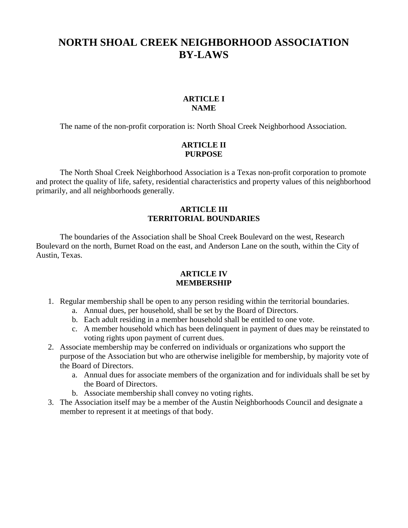# **NORTH SHOAL CREEK NEIGHBORHOOD ASSOCIATION BY-LAWS**

#### **ARTICLE I NAME**

The name of the non-profit corporation is: North Shoal Creek Neighborhood Association.

## **ARTICLE II PURPOSE**

The North Shoal Creek Neighborhood Association is a Texas non-profit corporation to promote and protect the quality of life, safety, residential characteristics and property values of this neighborhood primarily, and all neighborhoods generally.

#### **ARTICLE III TERRITORIAL BOUNDARIES**

The boundaries of the Association shall be Shoal Creek Boulevard on the west, Research Boulevard on the north, Burnet Road on the east, and Anderson Lane on the south, within the City of Austin, Texas.

#### **ARTICLE IV MEMBERSHIP**

- 1. Regular membership shall be open to any person residing within the territorial boundaries.
	- a. Annual dues, per household, shall be set by the Board of Directors.
	- b. Each adult residing in a member household shall be entitled to one vote.
	- c. A member household which has been delinquent in payment of dues may be reinstated to voting rights upon payment of current dues.
- 2. Associate membership may be conferred on individuals or organizations who support the purpose of the Association but who are otherwise ineligible for membership, by majority vote of the Board of Directors.
	- a. Annual dues for associate members of the organization and for individuals shall be set by the Board of Directors.
	- b. Associate membership shall convey no voting rights.
- 3. The Association itself may be a member of the Austin Neighborhoods Council and designate a member to represent it at meetings of that body.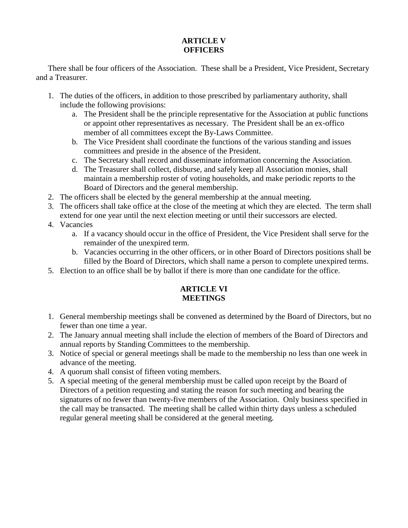# **ARTICLE V OFFICERS**

There shall be four officers of the Association. These shall be a President, Vice President, Secretary and a Treasurer.

- 1. The duties of the officers, in addition to those prescribed by parliamentary authority, shall include the following provisions:
	- a. The President shall be the principle representative for the Association at public functions or appoint other representatives as necessary. The President shall be an ex-offico member of all committees except the By-Laws Committee.
	- b. The Vice President shall coordinate the functions of the various standing and issues committees and preside in the absence of the President.
	- c. The Secretary shall record and disseminate information concerning the Association.
	- d. The Treasurer shall collect, disburse, and safely keep all Association monies, shall maintain a membership roster of voting households, and make periodic reports to the Board of Directors and the general membership.
- 2. The officers shall be elected by the general membership at the annual meeting.
- 3. The officers shall take office at the close of the meeting at which they are elected. The term shall extend for one year until the next election meeting or until their successors are elected.
- 4. Vacancies
	- a. If a vacancy should occur in the office of President, the Vice President shall serve for the remainder of the unexpired term.
	- b. Vacancies occurring in the other officers, or in other Board of Directors positions shall be filled by the Board of Directors, which shall name a person to complete unexpired terms.
- 5. Election to an office shall be by ballot if there is more than one candidate for the office.

## **ARTICLE VI MEETINGS**

- 1. General membership meetings shall be convened as determined by the Board of Directors, but no fewer than one time a year.
- 2. The January annual meeting shall include the election of members of the Board of Directors and annual reports by Standing Committees to the membership.
- 3. Notice of special or general meetings shall be made to the membership no less than one week in advance of the meeting.
- 4. A quorum shall consist of fifteen voting members.
- 5. A special meeting of the general membership must be called upon receipt by the Board of Directors of a petition requesting and stating the reason for such meeting and bearing the signatures of no fewer than twenty-five members of the Association. Only business specified in the call may be transacted. The meeting shall be called within thirty days unless a scheduled regular general meeting shall be considered at the general meeting.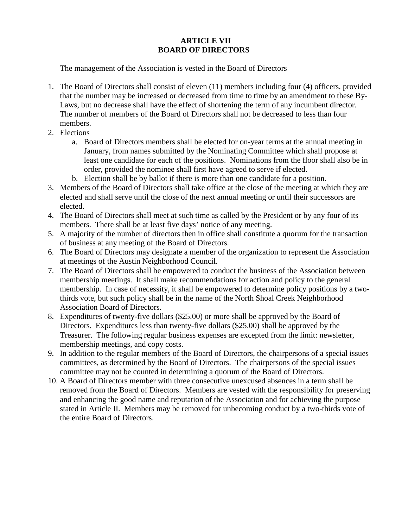# **ARTICLE VII BOARD OF DIRECTORS**

The management of the Association is vested in the Board of Directors

- 1. The Board of Directors shall consist of eleven (11) members including four (4) officers, provided that the number may be increased or decreased from time to time by an amendment to these By-Laws, but no decrease shall have the effect of shortening the term of any incumbent director. The number of members of the Board of Directors shall not be decreased to less than four members.
- 2. Elections
	- a. Board of Directors members shall be elected for on-year terms at the annual meeting in January, from names submitted by the Nominating Committee which shall propose at least one candidate for each of the positions. Nominations from the floor shall also be in order, provided the nominee shall first have agreed to serve if elected.
	- b. Election shall be by ballot if there is more than one candidate for a position.
- 3. Members of the Board of Directors shall take office at the close of the meeting at which they are elected and shall serve until the close of the next annual meeting or until their successors are elected.
- 4. The Board of Directors shall meet at such time as called by the President or by any four of its members. There shall be at least five days' notice of any meeting.
- 5. A majority of the number of directors then in office shall constitute a quorum for the transaction of business at any meeting of the Board of Directors.
- 6. The Board of Directors may designate a member of the organization to represent the Association at meetings of the Austin Neighborhood Council.
- 7. The Board of Directors shall be empowered to conduct the business of the Association between membership meetings. It shall make recommendations for action and policy to the general membership. In case of necessity, it shall be empowered to determine policy positions by a twothirds vote, but such policy shall be in the name of the North Shoal Creek Neighborhood Association Board of Directors.
- 8. Expenditures of twenty-five dollars (\$25.00) or more shall be approved by the Board of Directors. Expenditures less than twenty-five dollars (\$25.00) shall be approved by the Treasurer. The following regular business expenses are excepted from the limit: newsletter, membership meetings, and copy costs.
- 9. In addition to the regular members of the Board of Directors, the chairpersons of a special issues committees, as determined by the Board of Directors. The chairpersons of the special issues committee may not be counted in determining a quorum of the Board of Directors.
- 10. A Board of Directors member with three consecutive unexcused absences in a term shall be removed from the Board of Directors. Members are vested with the responsibility for preserving and enhancing the good name and reputation of the Association and for achieving the purpose stated in Article II. Members may be removed for unbecoming conduct by a two-thirds vote of the entire Board of Directors.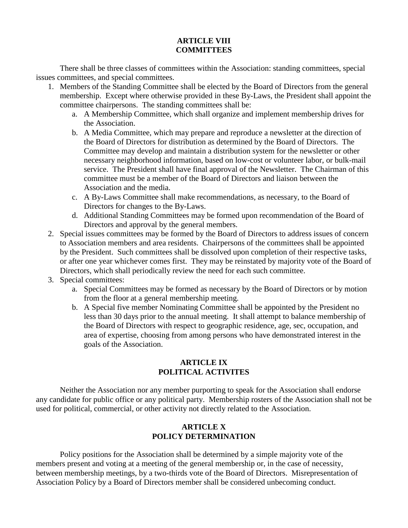#### **ARTICLE VIII COMMITTEES**

There shall be three classes of committees within the Association: standing committees, special issues committees, and special committees.

- 1. Members of the Standing Committee shall be elected by the Board of Directors from the general membership. Except where otherwise provided in these By-Laws, the President shall appoint the committee chairpersons. The standing committees shall be:
	- a. A Membership Committee, which shall organize and implement membership drives for the Association.
	- b. A Media Committee, which may prepare and reproduce a newsletter at the direction of the Board of Directors for distribution as determined by the Board of Directors. The Committee may develop and maintain a distribution system for the newsletter or other necessary neighborhood information, based on low-cost or volunteer labor, or bulk-mail service. The President shall have final approval of the Newsletter. The Chairman of this committee must be a member of the Board of Directors and liaison between the Association and the media.
	- c. A By-Laws Committee shall make recommendations, as necessary, to the Board of Directors for changes to the By-Laws.
	- d. Additional Standing Committees may be formed upon recommendation of the Board of Directors and approval by the general members.
- 2. Special issues committees may be formed by the Board of Directors to address issues of concern to Association members and area residents. Chairpersons of the committees shall be appointed by the President. Such committees shall be dissolved upon completion of their respective tasks, or after one year whichever comes first. They may be reinstated by majority vote of the Board of Directors, which shall periodically review the need for each such committee.
- 3. Special committees:
	- a. Special Committees may be formed as necessary by the Board of Directors or by motion from the floor at a general membership meeting.
	- b. A Special five member Nominating Committee shall be appointed by the President no less than 30 days prior to the annual meeting. It shall attempt to balance membership of the Board of Directors with respect to geographic residence, age, sec, occupation, and area of expertise, choosing from among persons who have demonstrated interest in the goals of the Association.

## **ARTICLE IX POLITICAL ACTIVITES**

Neither the Association nor any member purporting to speak for the Association shall endorse any candidate for public office or any political party. Membership rosters of the Association shall not be used for political, commercial, or other activity not directly related to the Association.

## **ARTICLE X POLICY DETERMINATION**

Policy positions for the Association shall be determined by a simple majority vote of the members present and voting at a meeting of the general membership or, in the case of necessity, between membership meetings, by a two-thirds vote of the Board of Directors. Misrepresentation of Association Policy by a Board of Directors member shall be considered unbecoming conduct.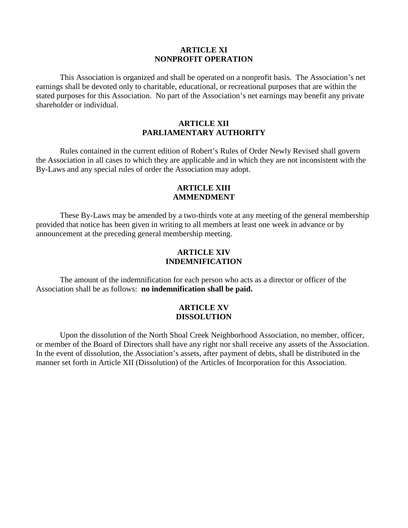#### **ARTICLE XI NONPROFIT OPERATION**

This Association is organized and shall be operated on a nonprofit basis. The Association's net earnings shall be devoted only to charitable, educational, or recreational purposes that are within the stated purposes for this Association. No part of the Association's net earnings may benefit any private shareholder or individual.

#### **ARTICLE XII PARLIAMENTARY AUTHORITY**

Rules contained in the current edition of Robert's Rules of Order Newly Revised shall govern the Association in all cases to which they are applicable and in which they are not inconsistent with the By-Laws and any special rules of order the Association may adopt.

#### **ARTICLE XIII AMMENDMENT**

These By-Laws may be amended by a two-thirds vote at any meeting of the general membership provided that notice has been given in writing to all members at least one week in advance or by announcement at the preceding general membership meeting.

#### **ARTICLE XIV INDEMNIFICATION**

The amount of the indemnification for each person who acts as a director or officer of the Association shall be as follows: **no indemnification shall be paid.**

#### **ARTICLE XV DISSOLUTION**

Upon the dissolution of the North Shoal Creek Neighborhood Association, no member, officer, or member of the Board of Directors shall have any right nor shall receive any assets of the Association. In the event of dissolution, the Association's assets, after payment of debts, shall be distributed in the manner set forth in Article XII (Dissolution) of the Articles of Incorporation for this Association.